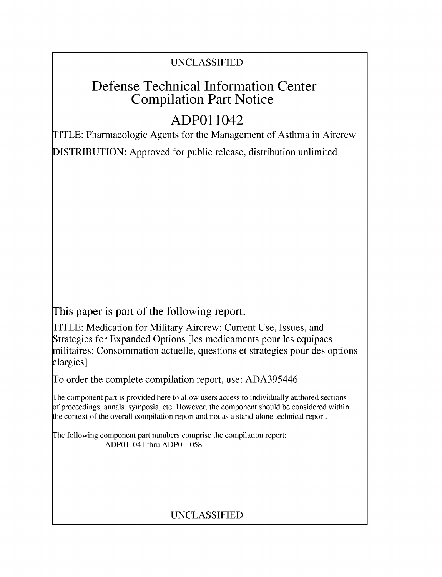### UNCLASSIFIED

# Defense Technical Information Center Compilation Part Notice

# **ADPO** 11042

TITLE: Pharmacologic Agents for the Management of Asthma in Aircrew DISTRIBUTION: Approved for public release, distribution unlimited

This paper is part of the following report:

TITLE: Medication for Military Aircrew: Current Use, Issues, and Strategies for Expanded Options [les medicaments pour les equipaes militaires: Consommation actuelle, questions et strategies pour des options elargies]

To order the complete compilation report, use: ADA395446

The component part is provided here to allow users access to individually authored sections f proceedings, annals, symposia, etc. However, the component should be considered within [he context of the overall compilation report and not as a stand-alone technical report.

The following component part numbers comprise the compilation report: ADPO11041 thru ADP011058

## UNCLASSIFIED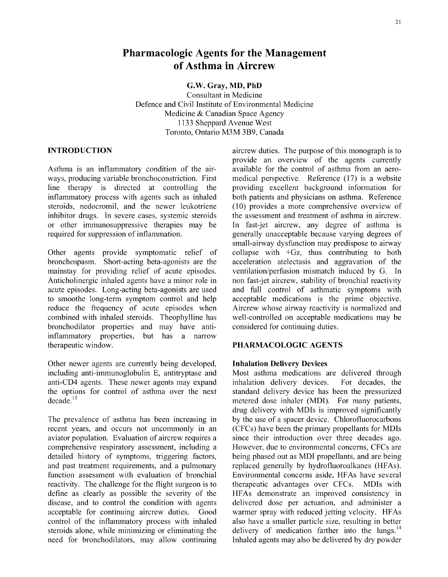### Pharmacologic Agents for the Management of Asthma in Aircrew

G.W. Gray, MD, PhD

Consultant in Medicine Defence and Civil Institute of Environmental Medicine Medicine & Canadian Space Agency 1133 Sheppard Avenue West Toronto, Ontario M3M 3B9, Canada

ways, producing variable bronchoconstriction. First medical perspective. Reference (17) is a website line therapy is directed at controlling the providing excellent background information for inflammatory process with agents such as inhaled both patients and physicians on asthma. Reference steroids, nedocromil, and the newer leukotriene (10) provides a more comprehensive overview of steroids, nedocromil, and the newer leukotriene (10) provides a more comprehensive overview of inhibitor drugs. In severe cases, systemic steroids the assessment and treatment of asthma in aircrew. inhibitor drugs. In severe cases, systemic steroids or other immunosuppressive therapies may be In fast-jet aircrew, any degree of asthma is required for suppression of inflammation. generally unacceptable because varying degrees of

bronchospasm. Short-acting beta-agonists are the acceleration atelectasis and aggravation of the mainstay for providing relief of acute episodes. ventilation/perfusion mismatch induced by G. In mainstay for providing relief of acute episodes. Anticholinergic inhaled agents have a minor role in non fast-jet aircrew, stability of bronchial reactivity acute episodes. Long-acting beta-agonists are used and full control of asthmatic symptoms with to smoothe long-term symptom control and help acceptable medications is the prime objective. to smoothe long-term symptom control and help reduce the frequency of acute episodes when Aircrew whose airway reactivity is normalized and combined with inhaled steroids. Theophylline has well-controlled on acceptable medications may be bronchodilator properties and may have anti-<br>considered for continuing duties. bronchodilator properties and may have antiinflammatory properties, but has a narrow therapeutic window. PHARMACOLOGIC **AGENTS**

Other newer agents are currently being developed, **Inhalation Delivery Devices** including anti-immunoglobulin E, antitryptase and Most asthma medications a anti-CD4 agents. These newer agents may expand inhalation delivery devices. For decades, the the options for control of asthma over the next standard delivery device has been the pressurized decade.<sup>13</sup> metered dose inhaler (MDI). For many natients,

recent years, and occurs not uncommonly in an (CFCs) have been the primary propellants for MDIs aviator population. Evaluation of aircrew requires a since their introduction over three decades ago. comprehensive respiratory assessment, including a However, due to environmental concerns, CFCs are detailed history of symptoms, triggering factors, being phased out as MDI propellants, and are being<br>and past treatment requirements, and a pulmonary replaced generally by hydrofluoroalkanes (HFAs). function assessment with evaluation of bronchial Environmental concerns aside, HFAs have several reactivity. The challenge for the flight surgeon is to therapeutic advantages over CFCs. MDIs with define as clearly as possible the severity of the HFAs demonstrate an improved consistency in disease, and to control the condition with agents delivered dose per actuation, and administer a acceptable for continuing aircrew duties. Good warmer spray with reduced jetting velocity. HFAs control of the inflammatory process with inhaled also have a smaller particle size, resulting in better steroids alone, while minimizing or eliminating the delivery of medication farther into the lungs.<sup>14</sup> need for bronchodilators, may allow continuing Inhaled agents may also be delivered by dry powder

**INTRODUCTION aircrew duties.** The purpose of this monograph is to provide an overview of the agents currently Asthma is an inflammatory condition of the air- available for the control of asthma from an aerogenerally unacceptable because varying degrees of small-airway dysfunction may predispose to airway Other agents provide symptomatic relief of collapse with +Gz, thus contributing to both bronchospasm. Short-acting beta-agonists are the acceleration atelectasis and aggravation of the

Most asthma medications are delivered through metered dose inhaler (MDI). For many patients, drug delivery with MDIs is improved significantly The prevalence of asthma has been increasing in by the use of a spacer device. Chlorofluorocarbons replaced generally by hydrofluoroalkanes (HFAs).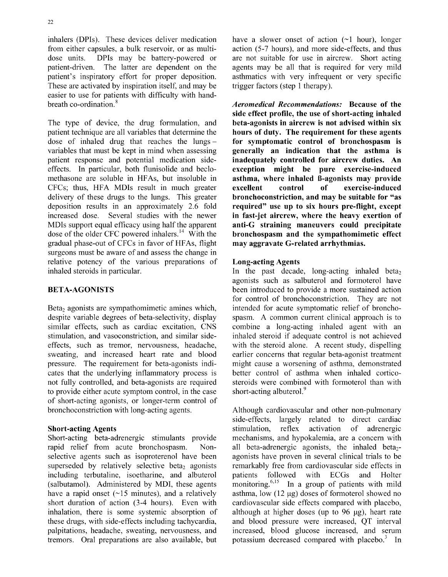inhalers (DPIs). These devices deliver medication have a slower onset of action  $(\sim 1 \text{ hour})$ , longer from either capsules, a bulk reservoir, or as multi- action (5-7 hours), and more side-effects, and thus dose units. DPIs may be battery-powered or are not suitable for use in aircrew. Short acting patient-driven. The latter are dependent on the agents may be all that is required for very mild patient's inspiratory effort for proper deposition. asthmatics with very infrequent or very specific These are activated by inspiration itself, and may be trigger factors (step 1 therapy). easier to use for patients with difficulty with handbreath co-ordination.8 *Aeromedical Recommendations:* Because of the

The type of device, the drug formulation, and **beta-agonists in aircrew is not advised within six** patient technique are all variables that determine the hours of duty. The requirement for these agents dose of inhaled drug that reaches the lungs – for symptomatic control of bronchospasm is dose of inhaled drug that reaches the lungs - for symptomatic control of bronchospasm is<br>variables that must be kept in mind when assessing generally an indication that the asthma is patient response and potential medication side- inadequately controlled for aircrew duties. An effects. In particular, both flunisolide and beclo-<br>methasone are soluble in HFAs, but insoluble in **asthma, where inhaled B-agonists may provide** methasone are soluble in HFAs, but insoluble in CFCs; thus, HFA MDIs result in much greater excellent control **of** exercise-induced delivery of these drugs to the lungs. This greater **bronchoconstriction, and may be suitable for "as** deposition results in an approximately 2.6 fold required" use up to six hours pre-flight, except<br>increased dose. Several studies with the newer in fast-iet aircrew, where the heavy exertion of MDIs support equal efficacy using half the apparent **anti-G** straining maneuvers could precipitate dose of the older CFC powered inhalers.<sup>14</sup> With the **bronchospasm and the sympathomimetic effect** gradual phase-out of CFCs in favor of HFAs, flight may aggravate G-related arrhythmias. surgeons must be aware of and assess the change in relative potency of the various preparations of Long-acting Agents inhaled steroids in particular.  $\qquad \qquad$  In the past decade, long-acting inhaled beta

despite variable degrees of beta-selectivity, display spasm. A common current clinical approach is to similar effects, such as cardiac excitation, CNS combine a long-acting inhaled agent with an stimulation, and vasoconstriction, and similar side- inhaled steroid if adequate control is not achieved effects, such as tremor, nervousness, headache, with the steroid alone. A recent study, dispelling sweating, and increased heart rate and blood earlier concerns that regular beta-agonist treatment pressure. The requirement for beta-agonists indi- might cause a worsening of asthma, demonstrated cates that the underlying inflammatory process is better control of asthma when inhaled corticonot fully controlled, and beta-agonists are required steroids were combined with formoterol than with to provide either acute symptom control, in the case short-acting albuterol.<sup>9</sup> of short-acting agonists, or longer-term control of bronchoconstriction with long-acting agents. Although cardiovascular and other non-pulmonary

rapid relief from acute bronchospasm. Non-<br>selective agents such as isoproterenol have been agonists have proven in several clinical trials to be superseded by relatively selective beta<sub>2</sub> agonists remarkably free from cardiovascular side effects in including terbutaline, isoetharine, and albuterol patients followed with ECGs and Holter including terbutaline, isoetharine, and albuterol patients followed with ECGs and Holter (salbutamol). Administered by MDI, these agents monitoring.<sup>6,15</sup> In a group of patients with mild have a rapid onset  $(\sim 15 \text{ minutes})$ , and a relatively asthma, low  $(12 \text{ µg})$  doses of formoterol showed no short duration of action (3-4 hours). Even with cardiovascular side effects compared with placebo, inhalation, there is some systemic absorption of although at higher doses (up to 96 **lig),** heart rate these drugs, with side-effects including tachycardia, and blood pressure were increased, QT interval palpitations, headache, sweating, nervousness, and increased, blood glucose increased, and serum tremors. Oral preparations are also available, but potassium decreased compared with placebo.<sup>3</sup> In

side effect profile, the use of short-acting inhaled generally an indication that the asthma is in fast-jet aircrew, where the heavy exertion of

agonists such as salbuterol and formoterol have **BETA-AGONISTS** been introduced to provide a more sustained action for control of bronchoconstriction. They are not Beta<sub>2</sub> agonists are sympathomimetic amines which, intended for acute symptomatic relief of broncho-

side-effects, largely related to direct cardiac Short-acting Agents stimulation, reflex activation of adrenergic Short-acting beta-adrenergic stimulants provide mechanisms, and hypokalemia, are a concern with agonists have proven in several clinical trials to be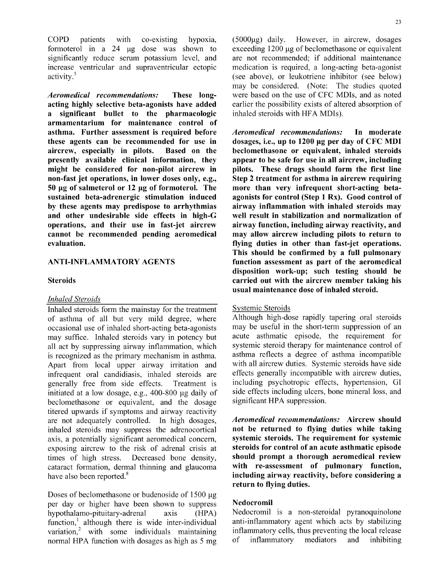$COPD$  patients with co-existing hypoxia,  $(5000\mu g)$  daily. However, in aircrew, dosages formoterol in a 24  $\mu$ g dose was shown to exceeding 1200  $\mu$ g of beclomethasone or equivalent significantly reduce serum potassium level, and are not recommended; if additional maintenance significantly reduce serum potassium level, and are not recommended; if additional maintenance increase ventricular and supraventricular ectopic medication is required, a long-acting beta-agonist increase ventricular and supraventricular ectopic activity.5 (see above), or leukotriene inhibitor (see below)

acting highly selective beta-agonists have added earlier the possibility exists of altered absorption of a significant bullet to the pharmacologic inhaled steroids with HFA MDIs). a significant bullet to the pharmacologic armamentarium for maintenance control of asthma. Further assessment is required before *Aeromedical recommendations:* In moderate these agents can be recommended for use in dosages, i.e., up to 1200 **pig** per day of **CFC** MDI aircrew, especially in pilots. Based on the beclomethasone or equivalent, inhaled steroids presently available clinical information, they appear to be safe for use in all aircrew, including might be considered for non-pilot aircrew in pilots. These drugs should form the first line non-fast jet operations, in lower doses only, e.g., Step 2 treatment for asthma in aircrew requiring 50 **pig** of salmeterol or 12 **pig** of formoterol. The more than very infrequent short-acting betasustained beta-adrenergic stimulation induced agonists for control (Step **1** Rx). Good control of **by** these agents may predispose to arrhythmias airway inflammation with inhaled steroids may and other undesirable side effects in high-G well result in stabilization and normalization of operations, and their use in fast-jet aircrew airway function, including airway reactivity, and cannot be recommended pending aeromedical may allow aircrew including pilots to return to evaluation. flying duties in other than fast-jet operations.

### *Inhaled Steroids*

Inhaled steroids form the mainstay for the treatment<br>
of asthma of all but very mild degree, where<br>
Although high-dose rapidly tapering oral steroids of asthma of all but very mild degree, where Although high-dose rapidly tapering oral steroids<br>occasional use of inhaled short-acting beta-agonists may be useful in the short-term suppression of an occasional use of inhaled short-acting beta-agonists may be useful in the short-term suppression of an<br>may suffice Inhaled steroids vary in potency but acute asthmatic episode, the requirement for may suffice. Inhaled steroids vary in potency but acute asthmatic episode, the requirement for all act by suppressing airway inflammation, which systemic steroid therapy for maintenance control of all act by suppressing airway inflammation, which is recognized as the primary mechanism in asthma. asthma reflects a degree of asthma incompatible Apart from local upper airway irritation and with all aircrew duties. Systemic steroids have side<br>infrequent oral candidiasis inhaled steroids are effects generally incompatible with aircrew duties. infrequent oral candidiasis, inhaled steroids are generally free from side effects. Treatment is including psychotropic effects, hypertension, GI initiated at a low dosage e.g. 400-800 ug daily of side effects including ulcers, bone mineral loss, and initiated at a low dosage, e.g.,  $400-800 \mu g$  daily of side effects including ulcers, beclomethasone or equivalent and the dosage significant HPA suppression. beclomethasone or equivalent, and the dosage titered upwards if symptoms and airway reactivity are not adequately controlled. In high dosages, *Aeromedical recommendations:* Aircrew should inhaled steroids may suppress the adrenocortical not be returned to flying duties while taking axis, a potentially significant aeromedical concern, systemic steroids. The requirement for systemic exposing aircrew to the risk of adrenal crisis at steroids for control of an acute asthmatic episode times of high stress. Decreased bone density, should prompt a thorough aeromedical review cataract formation, dermal thinning and glaucoma with re-assessment of pulmonary function, have also been reported.<sup>8</sup> including airway reactivity, before considering a

Doses of beclomethasone or budenoside of  $1500 \mu g$ per day or higher have been shown to suppress Nedocromil hypothalamo-pituitary-adrenal axis (HPA) Nedocromil is a non-steroidal pyranoquinolone function.<sup>1</sup> although there is wide inter-individual anti-inflammatory agent which acts by stabilizing function,<sup>1</sup> although there is wide inter-individual anti-inflammatory agent which acts by stabilizing variation<sup>2</sup> with some individuals maintaining inflammatory cells, thus preventing the local release variation,  $\frac{2}{\pi}$  with some individuals maintaining normal HPA function with dosages as high as 5 mg of inflammatory mediators and inhibiting

may be considered. (Note: The studies quoted *Aeromedical recommendations:* These long- were based on the use of CFC MDIs, and as noted

may allow aircrew including pilots to return to This should be confirmed **by** a full pulmonary ANTI-INFLAMMATORY **AGENTS** function assessment as part of the aeromedical disposition work-up; such testing should be Steroids carried out with the aircrew member taking his usual maintenance dose of inhaled steroid.

return to flying duties.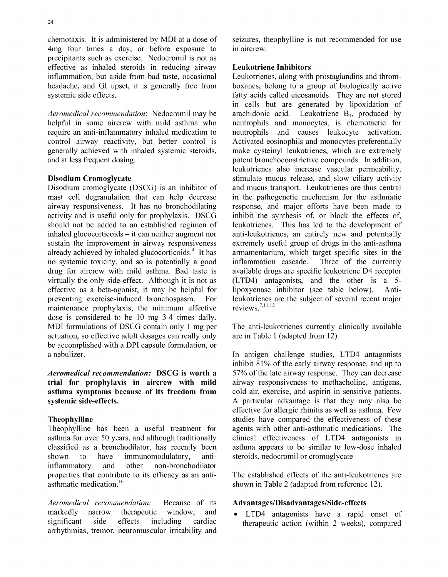chemotaxis. It is administered by MDI at a dose of seizures, theophylline is not recommended for use 4mg four times a day, or before exposure to in aircrew. 4mg four times a day, or before exposure to precipitants such as exercise. Nedocromil is not as effective as inhaled steroids in reducing airway Leukotriene Inhibitors<br>inflammation, but aside from bad taste, occasional Leukotrienes, along with headache, and GI upset, it is generally free from boxanes, belong to a group of biologically active systemic side effects. **fatty** acids called eicosanoids. They are not stored

*Aeromedical recommendation*: Nedocromil may be arachidonic acid. Leukotriene B<sub>4</sub>, produced by helpful in some aircrew with mild asthma who neutrophils and monocytes, is chemotactic for require an anti-inflammatory inhaled medication to neutrophils and causes leukocyte activation. control airway reactivity, but better control is Activated eosinophils and monocytes preferentially generally achieved with inhaled systemic steroids, make cysteinyl leukotrienes, which are extremely generally achieved with inhaled systemic steroids, and at less frequent dosing.

mast cell degranulation that can help decrease in the pathogenetic mechanism for the asthmatic airway responsiveness. It has no bronchodilating response, and major efforts have been made to activity and is useful only for prophylaxis. DSCG inhibit the synthesis of, or block the effects of, should not be added to an established regimen of leukotrienes. This has led to the development of inhaled glucocorticoids - it can neither augment nor anti-leukotrienes, an entirely new and potentially sustain the improvement in airway responsiveness extremely useful group of drugs in the anti-asthma already achieved by inhaled glucocorticoids.<sup>4</sup> It has armamentarium, which target specific sites in the no systemic toxicity, and so is potentially a good inflammation cascade. Three of the currently drug for aircrew with mild asthma. Bad taste is available drugs are specific leukotriene D4 receptor drug for aircrew with mild asthma. Bad taste is virtually the only side-effect. Although it is not as (LTD4) antagonists, and the other is a 5 effective as a beta-agonist, it may be helpful for<br>proxyenase inhibitor (see table below). Anti-<br>preventing exercise-induced bronchospasm. For leukotrienes are the subject of several recent major maintenance prophylaxis, the minimum effective dose is considered to be 10 mg 3-4 times daily. MDI formulations of DSCG contain only 1 mg per The anti-leukotrienes currently clinically available actuation, so effective adult dosages can really only are in Table 1 (adapted from 12). be accomplished with a DPI capsule formulation, or a nebulizer. In antigen challenge studies, LTD4 antagonists

trial for prophylaxis in aircrew with mild airway responsiveness to methacholine, antigens, asthma symptoms because of its freedom from cold air, exercise, and aspirin in sensitive patients. systemic side-effects. **A** particular advantage is that they may also be

asthma for over 50 years, and although traditionally clinical effectiveness of LTD4 antagonists in classified as a bronchodilator, has recently been asthma appears to be similar to low-dose inhaled shown to have immunomodulatory, anti- steroids, nedocromil or cromoglycate inflammatory and other non-bronchodilator properties that contribute to its efficacy as an anti-<br>The established effects of the anti-leukotrienes are asthmatic medication.<sup>16</sup> shown in Table 2 (adapted from reference 12).

*Aeromedical recommendation:* Because of its Advantages/Disadvantages/Side-effects markedly narrow therapeutic window, and • LTD4 antagonists have a rapid onset of significant side effects including cardiac therapeutic action (within 2 weeks), compared arrhythmias, tremor, neuromuscular irritability and

Leukotrienes, along with prostaglandins and thromin cells but are generated by lipoxidation of helphore and monocytes, is chemotactic for potent bronchoconstrictive compounds. In addition, leukotrienes also increase vascular permeability, **Disodium Cromoglycate** stimulate mucus release, and slow ciliary activity Disodium cromoglycate (DSCG) is an inhibitor of and mucus transport. Leukotrienes are thus central inhibit the synthesis of, or block the effects of, For leukotrienes are the subject of several recent major<br>tive reviews.  $7,11,12$ 

inhibit **81%** of the early airway response, and up to *Aeromedical recommendation:* **DSCG** is worth a **57%** of the late airway response. They can decrease effective for allergic rhinitis as well as asthma. Few Theophylline studies have compared the effectiveness of these Theophylline has been a useful treatment for agents with other anti-asthmatic medications. The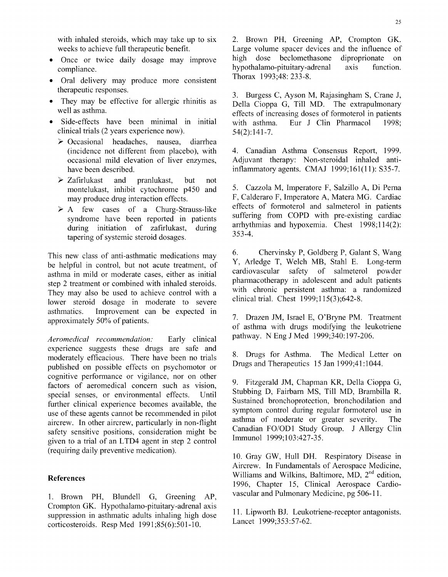with inhaled steroids, which may take up to six 2. Brown PH, Greening AP, Crompton GK.

- 
- Oral delivery may produce more consistent therapeutic responses. 3. Burgess C, Ayson M, Rajasingham S, Crane J,
- 
- clinical trials (2 years experience now). 54(2):141-7.
	- $\triangleright$  Occasional headaches, nausea, diarrhea (incidence not different from placebo), with 4. Canadian Asthma Consensus Report, 1999.
	- $\geq$  Zafirlukast and pranlukast, but not montelukast, inhibit cytochrome p450 and 5. Cazzola M, Imperatore F, Salzillo A, Di Perna
	- tapering of systemic steroid dosages.

be helpful in control, but not acute treatment, of  $\frac{Y}{Y}$ , Arledge T, Welch MB, Stahl E. Long-term<br>exthesis in mild or moderate eases either as initial cardiovascular safety of salmeterol powder asthma in mild or moderate cases, either as initial cardiovascular safety of salmeterol powder<br>cases are pharmacotherapy in adolescent and adult patients step 2 treatment or combined with inhaled steroids. pharmacotherapy in adolescent and adult patients<br>They may also be used to sehiave control with a with chronic persistent asthma: a randomized They may also be used to achieve control with a with chronic persistent asthma: a randomized degree in moderate to severe clinical trial. Chest  $1999;115(3);642-8$ . lower steroid dosage in moderate to severe asthmatics. Improvement can be expected in <br>approximately 50% of patients. 7. Drazen JM, Israel E, O'Bryne PM. Treatment

experience suggests these drugs are safe and moderately efficacious. There have been no trials and The Medical Letter on no trials and Therapeutics 15 Jan 1999;41:1044. published on possible effects on psychomotor or cognitive performance or vigilance, nor on other factors of aeromedical concern such as vision,<br>special concern such as vision, special concern such as vision, stubbing D, Fairbarn MS, Till MD, Brambilla R, special senses, or environmental effects. Until Stubbing D, Fairbarn MS, Till MD, Brambilla R.<br>Sustained bronchoprotection, bronchodilation and further clinical experience becomes available, the Sustained bronchoprotection, bronchodilation and symptom control during regular formoterol use in use of these agents cannot be recommended in pilot symptom control during regular formoterol use in<br>a site of moderate or greater severity. The aircrew. In other aircrew, particularly in non-flight asthma of moderate or greater severity. The capacity consistence as a consideration might be canadian FO/OD1 Study Group. J Allergy Clin safety sensitive positions, consideration might be Canadian FO/OD1 Study C<br>civen to a trial of an I TD4 agant in stan 2 control minumol 1999;103:427-35. given to a trial of an LTD4 agent in step 2 control (requiring daily preventive medication). 10. Gray GW, Hull DH. Respiratory Disease in

Crompton GK. Hypothalamo-pituitary-adrenal axis suppression in asthmatic adults inhaling high dose  $\frac{11. \text{Lipworth BJ.} \text{Leukotriene-receptor antagonists.}}{\text{Lancet } 1999;353:57-62.}$ corticosteroids. Resp Med  $1991;85(6):501-10$ .

weeks to achieve full therapeutic benefit. Large volume spacer devices and the influence of<br>Once or twice daily dosage may improve high dose beclomethasone diproprionate on Once or twice daily dosage may improve high dose beclomethasone diproprionate on compliance. hypothalamo-pituitary-adrenal Thorax 1993;48: 233-8.

They may be effective for allergic rhinitis as Della Cioppa G, Till MD. The extrapulmonary well as asthma.<br>
effects of increasing doses of formoterol in patients Side-effects have been minimal in initial with asthma. Eur J Clin Pharmacol 1998;

occasional mild elevation of liver enzymes, Adjuvant therapy: Non-steroidal inhaled antihave been described. **inflammatory agents.** CMAJ 1999;161(11): S35-7.

may produce drug interaction effects.<br>
F, Calderaro F, Imperatore A, Matera MG. Cardiac<br>
fects of formoterol and salmeterol in patients  $\geq$  A few cases of a Churg-Strauss-like effects of formoterol and salmeterol in patients syndrome have been reported in patients suffering from COPD with pre-existing cardiac during initiation of zafirlukast, during arrhythmias and hypoxemia. Chest 1998;114(2):<br>tonoring of systemic stereoid decoges  $353-4$ .

This new class of anti-asthmatic medications may  $\begin{array}{c} 6. \text{Chervinsky P, Goldberg P, Galant S, Wang} \\ \text{the helpful in control, but not count to form} \\ 7. \text{Arledge T, Welch MB, Stahl E. Long-term} \end{array}$ 

of asthma with drugs modifying the leukotriene *Aeromedical recommendation:* Early clinical pathway. N Eng J Med 1999;340:197-206.

Aircrew. In Fundamentals of Aerospace Medicine, References Williams and Wilkins, Baltimore, MD, 2<sup>nd</sup> edition, 1996, Chapter 15, Clinical Aerospace Cardio-1. Brown PH, Blundell G, Greening AP, vascular and Pulmonary Medicine, pg 506-11.